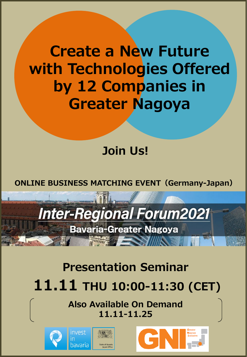**Create a New Future with Technologies Offered by 12 Companies in Greater Nagoya**

# **Join Us!**

**ONLINE BUSINESS MATCHING EVENT(Germany-Japan)**

# **Inter-Regional Forum2021**

**Bavaria-Greater Nagoya** 

**The Contract of Seconds** 

# **Presentation Seminar**

# **11.11 THU 10:00-11:30 (CET)**

**Also Available On Demand 11.11-11.25** 





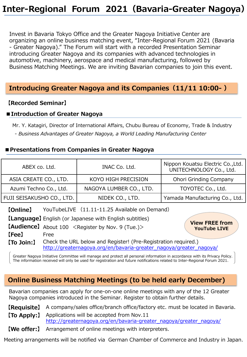Invest in Bavaria Tokyo Office and the Greater Nagoya Initiative Center are organizing an online business matching event, "Inter-Regional Forum 2021 (Bavaria - Greater Nagoya)." The Forum will start with a recorded Presentation Seminar introducing Greater Nagoya and its companies with advanced technologies in automotive, machinery, aerospace and medical manufacturing, followed by Business Matching Meetings. We are inviting Bavarian companies to join this event.

### **Introducing Greater Nagoya and its Companies(11/11 10:00- )**

#### **【Recorded Seminar】**

#### **■Introduction of Greater Nagoya**

Mr. Y. Katagiri, Director of International Affairs, Chubu Bureau of Economy, Trade & Industry - *Business Advantages of Greater Nagoya, a World Leading Manufacturing Center*

#### **■Presentations from Companies in Greater Nagoya**

| ABEX co. Ltd.                                                                                                                                                                                                                                                                                                                                 |                                                                    | INAC Co. Ltd.           | Nippon Kouatsu Electric Co., Ltd.<br>UNITECHNOLOGY Co., Ltd. |  |
|-----------------------------------------------------------------------------------------------------------------------------------------------------------------------------------------------------------------------------------------------------------------------------------------------------------------------------------------------|--------------------------------------------------------------------|-------------------------|--------------------------------------------------------------|--|
| ASIA CREATE CO., LTD.                                                                                                                                                                                                                                                                                                                         |                                                                    | KOYO HIGH PRECISION     | <b>Ohori Grinding Company</b>                                |  |
| Azumi Techno Co., Ltd.                                                                                                                                                                                                                                                                                                                        |                                                                    | NAGOYA LUMBER CO., LTD. | TOYOTEC Co., Ltd.                                            |  |
| FUJI SEISAKUSHO CO., LTD.                                                                                                                                                                                                                                                                                                                     |                                                                    | NIDEK CO., LTD.         | Yamada Manufacturing Co., Ltd.                               |  |
| YouTubeLIVE (11.11-11.25 Available on Demand)<br>[Online]<br>[Language] English (or Japanese with English subtitles)<br><b>View FREE from</b><br><b>[Audience]</b> About 100 <register (tue.)="" 9="" by="" nov.=""><br/><b>YouTube LIVE</b><br/>[Fee]<br/>Free<br/>Check the URL below and Register! (Pre-Registration required.)</register> |                                                                    |                         |                                                              |  |
| 【To Join:】                                                                                                                                                                                                                                                                                                                                    | http://greaternagoya.org/en/bavaria-greater_nagoya/greater_nagoya/ |                         |                                                              |  |

Greater Nagoya Initiative Committee will manage and protect all personal information in accordance with its Privacy Policy. The information received will only be used for registration and future notifications related to Inter-Regional Forum 2021.

## **Online Business Matching Meetings (to be held early December)**

Bavarian companies can apply for one-on-one online meetings with any of the 12 Greater Nagoya companies introduced in the Seminar. Register to obtain further details.

**【Requisite】** A company/sales office/branch office/factory etc. must be located in Bavaria.

- Applications will be accepted from Nov.11 [http://greaternagoya.org/en/bavaria-greater\\_nagoya/greater\\_nagoya/](http://greaternagoya.org/en/bavaria-greater_nagoya/greater_nagoya/) **【To Apply:】**
- **【We offer:】** Arrangement of online meetings with interpreters.

Meeting arrangements will be notified via German Chamber of Commerce and Industry in Japan.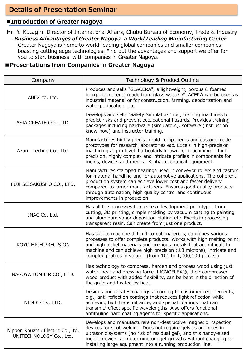### **Details of Presentation Seminar**

#### **■Introduction of Greater Nagoya**

Mr. Y. Katagiri, Director of International Affairs, Chubu Bureau of Economy, Trade & Industry - *Business Advantages of Greater Nagoya, a World Leading Manufacturing Center*

Greater Nagoya is home to world-leading global companies and smaller companies boasting cutting edge technologies. Find out the advantages and support we offer for you to start business with companies in Greater Nagoya.

#### **■Presentations from Companies in Greater Nagoya**

| Company                                                      | Technology & Product Outline                                                                                                                                                                                                                                                                                                                                           |
|--------------------------------------------------------------|------------------------------------------------------------------------------------------------------------------------------------------------------------------------------------------------------------------------------------------------------------------------------------------------------------------------------------------------------------------------|
| ABEX co. Ltd.                                                | Produces and sells "GLACERA", a lightweight, porous & foamed<br>inorganic material made from glass waste. GLACERA can be used as<br>industrial material or for construction, farming, deodorization and<br>water purification, etc.                                                                                                                                    |
| ASIA CREATE CO., LTD.                                        | Develops and sells "Safety Simulators" i.e., training machines to<br>predict risks and prevent occupational hazards. Provides training<br>packages including hardware (simulators), software (instruction<br>know-how) and instructor training.                                                                                                                        |
| Azumi Techno Co., Ltd.                                       | Manufactures highly precise mold components and custom-made<br>prototypes for research laboratories etc. Excels in high-precision<br>machining at um level. Particularly known for machining in high-<br>precision, highly complex and intricate profiles in components for<br>molds, devices and medical & pharmaceutical equipment.                                  |
| FUJI SEISAKUSHO CO., LTD.                                    | Manufactures stamped bearings used in conveyor rollers and castors<br>for material handling and for automotive applications. The coherent<br>production system can achieve lower cost and faster delivery<br>compared to larger manufacturers. Ensures good quality products<br>through automation, high quality control and continuous<br>improvements in production. |
| INAC Co. Ltd.                                                | Has all the processes to create a development prototype, from<br>cutting, 3D printing, simple molding by vacuum casting to painting<br>and aluminum vapor deposition plating etc. Excels in processing<br>transparent resin. Can create from just one product.                                                                                                         |
| KOYO HIGH PRECISION                                          | Has skill to machine difficult-to-cut materials, combines various<br>processes to offer complete products. Works with high melting point<br>and high nickel materials and precious metals that are difficult to<br>machine and can achieve high precision $(\pm 3$ microns), intricate and<br>complex profiles in volume (from 100 to 1,000,000 pieces.)               |
| NAGOYA LUMBER CO., LTD.                                      | Has technology to compress, harden and process wood using just<br>water, heat and pressing force. LIGNOFLEX®, their compressed<br>wood product with added flexibility, can be bent in the direction of<br>the grain and fixated by heat.                                                                                                                               |
| NIDEK CO., LTD.                                              | Designs and creates coatings according to customer requirements,<br>e.g., anti-reflection coatings that reduces light reflection while<br>achieving high transmittance; and special coatings that can<br>transmit/reflect specific wavelengths. Also offers functional<br>antifouling hard coating agents for specific applications.                                   |
| Nippon Kouatsu Electric Co., Ltd.<br>UNITECHNOLOGY Co., Ltd. | Develops and manufacturers non-destructive magnetic inspection<br>devices for spot welding. Does not require gels as one does in<br>ultrasonic systems (no risk of residual gel), and this handy-sized<br>mobile device can determine nugget growths without changing or<br>installing large equipment into a running production line.                                 |